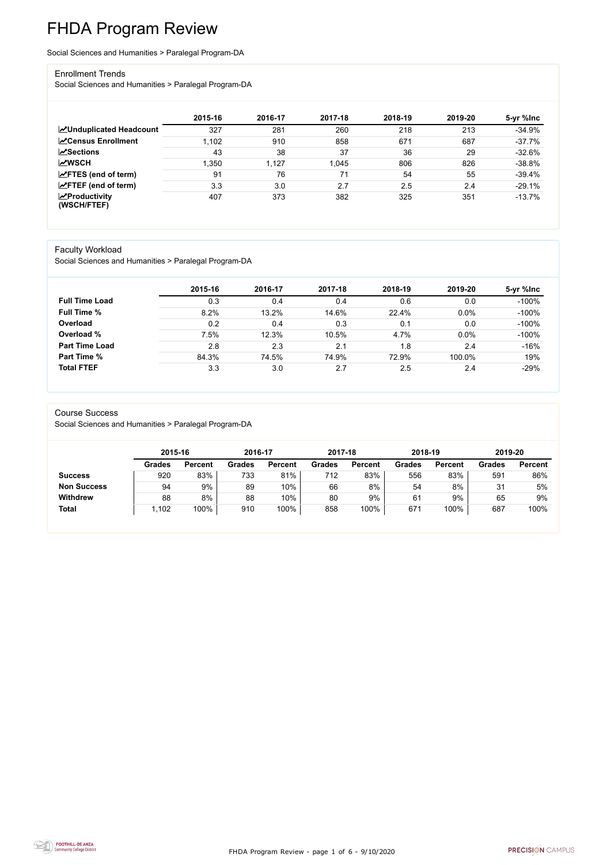FHDA Program Review - page 1 of 6 - 9/10/2020



# FHDA Program Review

Social Sciences and Humanities > Paralegal Program-DA

#### Enrollment Trends

Social Sciences and Humanities > Paralegal Program-DA

|                                                  | 2015-16 | 2016-17 | 2017-18 | 2018-19 | 2019-20 | 5-yr %lnc |
|--------------------------------------------------|---------|---------|---------|---------|---------|-----------|
| <b>ZUnduplicated Headcount</b>                   | 327     | 281     | 260     | 218     | 213     | $-34.9%$  |
| <b>ZCensus Enrollment</b>                        | 1,102   | 910     | 858     | 671     | 687     | $-37.7%$  |
| <b>ZSections</b>                                 | 43      | 38      | 37      | 36      | 29      | $-32.6%$  |
| <b>MWSCH</b>                                     | 1,350   | 1,127   | 1,045   | 806     | 826     | $-38.8%$  |
| $\angle$ FTES (end of term)                      | 91      | 76      | 71      | 54      | 55      | $-39.4%$  |
| $\angle$ FTEF (end of term)                      | 3.3     | 3.0     | 2.7     | 2.5     | 2.4     | $-29.1%$  |
| $\sqrt{\frac{1}{2}}$ Productivity<br>(WSCH/FTEF) | 407     | 373     | 382     | 325     | 351     | $-13.7%$  |

#### Faculty Workload

Social Sciences and Humanities > Paralegal Program-DA

|                       | 2015-16 | 2016-17 | 2017-18 | 2018-19 | 2019-20 | 5-yr %lnc |
|-----------------------|---------|---------|---------|---------|---------|-----------|
| <b>Full Time Load</b> | 0.3     | 0.4     | 0.4     | 0.6     | 0.0     | $-100%$   |
| <b>Full Time %</b>    | 8.2%    | 13.2%   | 14.6%   | 22.4%   | 0.0%    | $-100%$   |
| Overload              | 0.2     | 0.4     | 0.3     | 0.1     | 0.0     | $-100%$   |
| Overload %            | 7.5%    | 12.3%   | 10.5%   | 4.7%    | 0.0%    | $-100%$   |
| <b>Part Time Load</b> | 2.8     | 2.3     | 2.1     | 1.8     | 2.4     | $-16%$    |
| <b>Part Time %</b>    | 84.3%   | 74.5%   | 74.9%   | 72.9%   | 100.0%  | 19%       |
| <b>Total FTEF</b>     | 3.3     | 3.0     | 2.7     | 2.5     | 2.4     | $-29%$    |

#### Course Success

Social Sciences and Humanities > Paralegal Program-DA

|                    |               | 2015-16        |               | 2016-17        | 2017-18       |                | 2018-19       |                | 2019-20       |                |
|--------------------|---------------|----------------|---------------|----------------|---------------|----------------|---------------|----------------|---------------|----------------|
|                    | <b>Grades</b> | <b>Percent</b> | <b>Grades</b> | <b>Percent</b> | <b>Grades</b> | <b>Percent</b> | <b>Grades</b> | <b>Percent</b> | <b>Grades</b> | <b>Percent</b> |
| <b>Success</b>     | 920           | 83%            | 733           | 81%            | 712           | 83%            | 556           | 83%            | 591           | 86%            |
| <b>Non Success</b> | 94            | 9%             | 89            | 10%            | 66            | 8%             | 54            | 8%             | 31            | 5%             |
| <b>Withdrew</b>    | 88            | 8%             | 88            | 10%            | 80            | 9%             | 61            | 9%             | 65            | 9%             |
| <b>Total</b>       | 1,102         | 100%           | 910           | 100%           | 858           | 100%           | 671           | 100%           | 687           | 100%           |

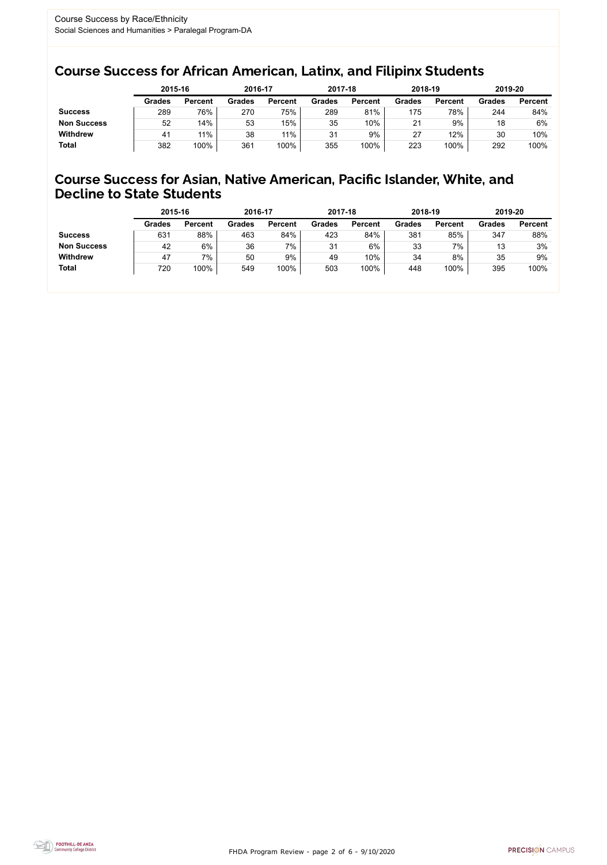FHDA Program Review - page 2 of 6 - 9/10/2020



### Course Success for African American, Latinx, and Filipinx Students

### Course Success for Asian, Native American, Pacific Islander, White, and Decline to State Students

|                    |               | 2015-16        |               | 2016-17        |               | 2017-18        | 2018-19       |                | 2019-20       |                |
|--------------------|---------------|----------------|---------------|----------------|---------------|----------------|---------------|----------------|---------------|----------------|
|                    | <b>Grades</b> | <b>Percent</b> | <b>Grades</b> | <b>Percent</b> | <b>Grades</b> | <b>Percent</b> | <b>Grades</b> | <b>Percent</b> | <b>Grades</b> | <b>Percent</b> |
| <b>Success</b>     | 289           | 76%            | 270           | 75%            | 289           | 81%            | 175           | 78%            | 244           | 84%            |
| <b>Non Success</b> | 52            | 14%            | 53            | 15%            | 35            | 10%            | 21            | 9%             | 18            | 6%             |
| <b>Withdrew</b>    | 41            | 11%            | 38            | 11%            | 31            | 9%             | 27            | 12%            | 30            | 10%            |
| <b>Total</b>       | 382           | 100%           | 361           | 100%           | 355           | 100%           | 223           | 100%           | 292           | 100%           |

|                    | 2015-16       |                | 2016-17       |                | 2017-18       |                | 2018-19       |                | 2019-20       |                |
|--------------------|---------------|----------------|---------------|----------------|---------------|----------------|---------------|----------------|---------------|----------------|
|                    | <b>Grades</b> | <b>Percent</b> | <b>Grades</b> | <b>Percent</b> | <b>Grades</b> | <b>Percent</b> | <b>Grades</b> | <b>Percent</b> | <b>Grades</b> | <b>Percent</b> |
| <b>Success</b>     | 631           | 88%            | 463           | 84%            | 423           | 84%            | 381           | 85%            | 347           | 88%            |
| <b>Non Success</b> | 42            | 6%             | 36            | 7%             | 31            | 6%             | 33            | 7%             | 13            | 3%             |
| <b>Withdrew</b>    | 47            | 7%             | 50            | 9%             | 49            | 10%            | 34            | 8%             | 35            | 9%             |
| <b>Total</b>       | 720           | 100%           | 549           | 100%           | 503           | 100%           | 448           | 100%           | 395           | 100%           |
|                    |               |                |               |                |               |                |               |                |               |                |

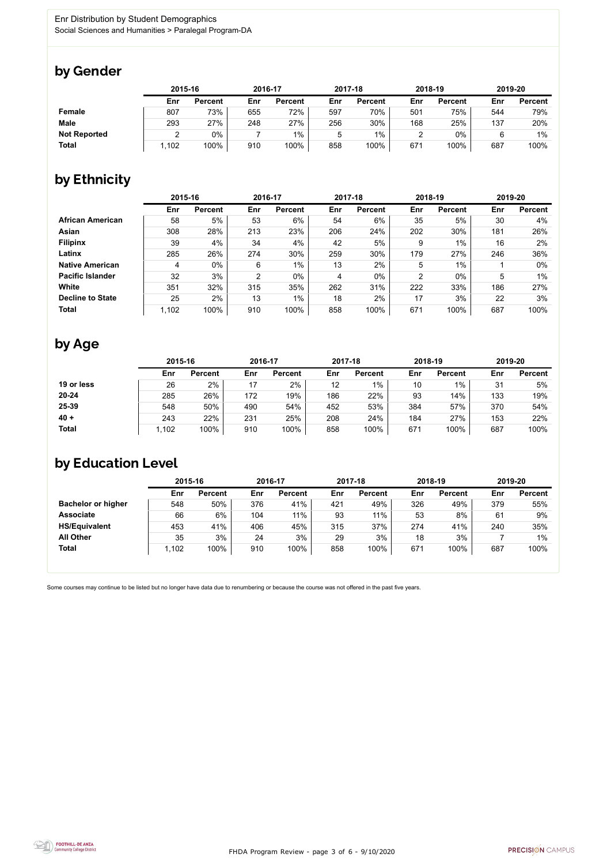

Some courses may continue to be listed but no longer have data due to renumbering or because the course was not offered in the past five years.



### by Gender

|                     | 2015-16 |                |     | 2016-17        |     | 2017-18        | 2018-19 |                | 2019-20 |                |
|---------------------|---------|----------------|-----|----------------|-----|----------------|---------|----------------|---------|----------------|
|                     | Enr     | <b>Percent</b> | Enr | <b>Percent</b> | Enr | <b>Percent</b> | Enr     | <b>Percent</b> | Enr     | <b>Percent</b> |
| <b>Female</b>       | 807     | 73%            | 655 | 72%            | 597 | 70%            | 501     | 75%            | 544     | 79%            |
| <b>Male</b>         | 293     | 27%            | 248 | 27%            | 256 | 30%            | 168     | 25%            | 137     | 20%            |
| <b>Not Reported</b> | ⌒       | 0%             |     | $1\%$          | ა   | $1\%$          |         | $0\%$          | 6       | 1%             |
| <b>Total</b>        | .102    | 100%           | 910 | 100%           | 858 | 100%           | 671     | 100%           | 687     | 100%           |

### by Ethnicity

|                         |       | 2015-16        |     | 2016-17        |     | 2017-18        | 2018-19 |                | 2019-20 |                |
|-------------------------|-------|----------------|-----|----------------|-----|----------------|---------|----------------|---------|----------------|
|                         | Enr   | <b>Percent</b> | Enr | <b>Percent</b> | Enr | <b>Percent</b> | Enr     | <b>Percent</b> | Enr     | <b>Percent</b> |
| <b>African American</b> | 58    | 5%             | 53  | 6%             | 54  | 6%             | 35      | 5%             | 30      | 4%             |
| <b>Asian</b>            | 308   | 28%            | 213 | 23%            | 206 | 24%            | 202     | 30%            | 181     | 26%            |
| <b>Filipinx</b>         | 39    | 4%             | 34  | 4%             | 42  | 5%             | 9       | $1\%$          | 16      | 2%             |
| Latinx                  | 285   | 26%            | 274 | 30%            | 259 | 30%            | 179     | 27%            | 246     | 36%            |
| <b>Native American</b>  | 4     | $0\%$          | 6   | $1\%$          | 13  | 2%             | 5       | $1\%$          |         | $0\%$          |
| <b>Pacific Islander</b> | 32    | 3%             | 2   | $0\%$          | 4   | $0\%$          | 2       | $0\%$          | 5       | $1\%$          |
| White                   | 351   | 32%            | 315 | 35%            | 262 | 31%            | 222     | 33%            | 186     | 27%            |
| <b>Decline to State</b> | 25    | 2%             | 13  | $1\%$          | 18  | 2%             | 17      | 3%             | 22      | 3%             |
| <b>Total</b>            | 1,102 | 100%           | 910 | 100%           | 858 | 100%           | 671     | 100%           | 687     | 100%           |

## by Age

|              | 2015-16 |                |     | 2016-17        |     | 2017-18        | 2018-19 |                | 2019-20 |                |
|--------------|---------|----------------|-----|----------------|-----|----------------|---------|----------------|---------|----------------|
|              | Enr     | <b>Percent</b> | Enr | <b>Percent</b> | Enr | <b>Percent</b> | Enr     | <b>Percent</b> | Enr     | <b>Percent</b> |
| 19 or less   | 26      | 2%             |     | 2%             | 12  | $1\%$          | 10      | $1\%$          | 31      | 5%             |
| $20 - 24$    | 285     | 26%            | 172 | 19%            | 186 | 22%            | 93      | 14%            | 133     | 19%            |
| 25-39        | 548     | 50%            | 490 | 54%            | 452 | 53%            | 384     | 57%            | 370     | 54%            |
| $40 +$       | 243     | 22%            | 231 | 25%            | 208 | 24%            | 184     | 27%            | 153     | 22%            |
| <b>Total</b> | 1,102   | 100%           | 910 | 100%           | 858 | 100%           | 671     | 100%           | 687     | 100%           |

## by Education Level

|                           | 2015-16 |                |     | 2016-17        |     | 2017-18        |     | 2018-19        | 2019-20 |                |
|---------------------------|---------|----------------|-----|----------------|-----|----------------|-----|----------------|---------|----------------|
|                           | Enr     | <b>Percent</b> | Enr | <b>Percent</b> | Enr | <b>Percent</b> | Enr | <b>Percent</b> | Enr     | <b>Percent</b> |
| <b>Bachelor or higher</b> | 548     | 50%            | 376 | 41%            | 421 | 49%            | 326 | 49%            | 379     | 55%            |
| <b>Associate</b>          | 66      | 6%             | 104 | 11%            | 93  | 11%            | 53  | 8%             | 61      | 9%             |
| <b>HS/Equivalent</b>      | 453     | 41%            | 406 | 45%            | 315 | 37%            | 274 | 41%            | 240     | 35%            |
| <b>All Other</b>          | 35      | 3%             | 24  | 3%             | 29  | 3%             | 18  | 3%             |         | $1\%$          |
| <b>Total</b>              | .102    | 100%           | 910 | 100%           | 858 | 100%           | 671 | 100%           | 687     | 100%           |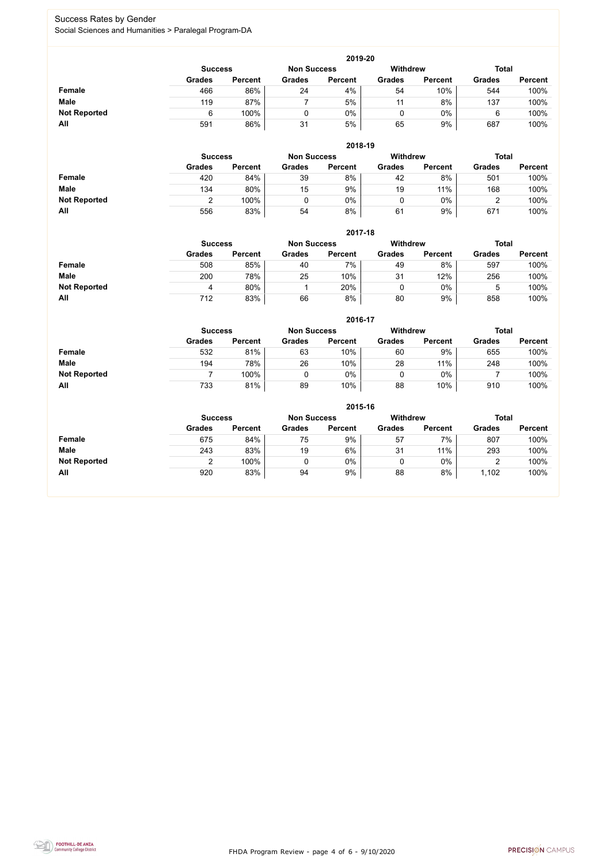FHDA Program Review - page 4 of 6 - 9/10/2020



### Success Rates by Gender Social Sciences and Humanities > Paralegal Program-DA

|                     | 2019-20                                                                 |                |               |                |               |                |               |                |  |  |  |  |  |
|---------------------|-------------------------------------------------------------------------|----------------|---------------|----------------|---------------|----------------|---------------|----------------|--|--|--|--|--|
|                     | <b>Withdrew</b><br><b>Total</b><br><b>Non Success</b><br><b>Success</b> |                |               |                |               |                |               |                |  |  |  |  |  |
|                     | <b>Grades</b>                                                           | <b>Percent</b> | <b>Grades</b> | <b>Percent</b> | <b>Grades</b> | <b>Percent</b> | <b>Grades</b> | <b>Percent</b> |  |  |  |  |  |
| <b>Female</b>       | 466                                                                     | 86%            | 24            | 4%             | 54            | 10%            | 544           | 100%           |  |  |  |  |  |
| <b>Male</b>         | 119                                                                     | 87%            |               | 5%             |               | 8%             | 137           | 100%           |  |  |  |  |  |
| <b>Not Reported</b> |                                                                         | 100%           |               | 0%             |               | $0\%$          | 6             | 100%           |  |  |  |  |  |
| All                 | 591                                                                     | 86%            | 31            | 5%             | 65            | 9%             | 687           | 100%           |  |  |  |  |  |

|                     |               | 2018-19                              |               |                |               |                 |               |                |  |  |  |  |  |  |
|---------------------|---------------|--------------------------------------|---------------|----------------|---------------|-----------------|---------------|----------------|--|--|--|--|--|--|
|                     |               | <b>Non Success</b><br><b>Success</b> |               |                |               | <b>Withdrew</b> | <b>Total</b>  |                |  |  |  |  |  |  |
|                     | <b>Grades</b> | <b>Percent</b>                       | <b>Grades</b> | <b>Percent</b> | <b>Grades</b> | <b>Percent</b>  | <b>Grades</b> | <b>Percent</b> |  |  |  |  |  |  |
| Female              | 420           | 84%                                  | 39            | 8%             | 42            | 8%              | 501           | 100%           |  |  |  |  |  |  |
| <b>Male</b>         | 134           | 80%                                  | 15            | 9%             | 19            | 11%             | 168           | 100%           |  |  |  |  |  |  |
| <b>Not Reported</b> |               | 100%                                 |               | 0%             |               | $0\%$           |               | 100%           |  |  |  |  |  |  |
| All                 | 556           | 83%                                  | 54            | 8%             | 61            | 9%              | 671           | 100%           |  |  |  |  |  |  |

|                     |               | 2017-18                                                                 |               |                |               |                |               |                |  |  |  |  |  |  |
|---------------------|---------------|-------------------------------------------------------------------------|---------------|----------------|---------------|----------------|---------------|----------------|--|--|--|--|--|--|
|                     |               | <b>Withdrew</b><br><b>Total</b><br><b>Non Success</b><br><b>Success</b> |               |                |               |                |               |                |  |  |  |  |  |  |
|                     | <b>Grades</b> | <b>Percent</b>                                                          | <b>Grades</b> | <b>Percent</b> | <b>Grades</b> | <b>Percent</b> | <b>Grades</b> | <b>Percent</b> |  |  |  |  |  |  |
| Female              | 508           | 85%                                                                     | 40            | 7%             | 49            | 8%             | 597           | 100%           |  |  |  |  |  |  |
| <b>Male</b>         | 200           | 78%                                                                     | 25            | 10%            | 31            | 12%            | 256           | 100%           |  |  |  |  |  |  |
| <b>Not Reported</b> | 4             | 80%                                                                     |               | 20%            | 0             | $0\%$          | 5             | 100%           |  |  |  |  |  |  |
| All                 | 712           | 83%                                                                     | 66            | 8%             | 80            | 9%             | 858           | 100%           |  |  |  |  |  |  |

|                     |               | 2016-17        |               |                |                 |                |               |                |  |  |
|---------------------|---------------|----------------|---------------|----------------|-----------------|----------------|---------------|----------------|--|--|
|                     |               | <b>Success</b> |               |                | <b>Withdrew</b> |                | <b>Total</b>  |                |  |  |
|                     | <b>Grades</b> | <b>Percent</b> | <b>Grades</b> | <b>Percent</b> | <b>Grades</b>   | <b>Percent</b> | <b>Grades</b> | <b>Percent</b> |  |  |
| Female              | 532           | 81%            | 63            | 10%            | 60              | 9%             | 655           | 100%           |  |  |
| <b>Male</b>         | 194           | 78%            | 26            | 10%            | 28              | 11%            | 248           | 100%           |  |  |
| <b>Not Reported</b> |               | 100%           |               | 0%             |                 | $0\%$          |               | 100%           |  |  |
| All                 | 733           | 81%            | 89            | 10%            | 88              | 10%            | 910           | 100%           |  |  |

|                     |                |                |                    | 2015-16        |               |                |               |                |
|---------------------|----------------|----------------|--------------------|----------------|---------------|----------------|---------------|----------------|
|                     | <b>Success</b> |                | <b>Non Success</b> |                | Withdrew      |                | <b>Total</b>  |                |
|                     | <b>Grades</b>  | <b>Percent</b> | <b>Grades</b>      | <b>Percent</b> | <b>Grades</b> | <b>Percent</b> | <b>Grades</b> | <b>Percent</b> |
| Female              | 675            | 84%            | 75                 | 9%             | 57            | 7%             | 807           | 100%           |
| <b>Male</b>         | 243            | 83%            | 19                 | 6%             | 31            | 11%            | 293           | 100%           |
| <b>Not Reported</b> | ⌒              | 100%           | 0                  | $0\%$          | ν             | $0\%$          |               | 100%           |
| All                 | 920            | 83%            | 94                 | 9%             | 88            | 8%             | 1,102         | 100%           |

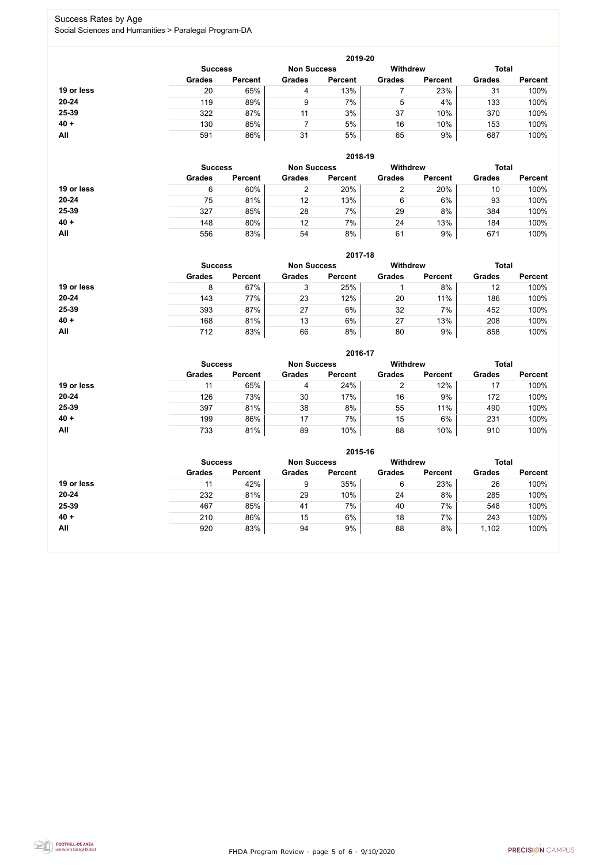FHDA Program Review - page 5 of 6 - 9/10/2020



### Success Rates by Age Social Sciences and Humanities > Paralegal Program-DA

|            |                |                    |               | 2019-20         |               |                |               |                |
|------------|----------------|--------------------|---------------|-----------------|---------------|----------------|---------------|----------------|
|            | <b>Success</b> | <b>Non Success</b> |               | <b>Withdrew</b> |               | <b>Total</b>   |               |                |
|            | <b>Grades</b>  | <b>Percent</b>     | <b>Grades</b> | <b>Percent</b>  | <b>Grades</b> | <b>Percent</b> | <b>Grades</b> | <b>Percent</b> |
| 19 or less | 20             | 65%                | 4             | 13%             |               | 23%            | 31            | 100%           |
| 20-24      | 119            | 89%                | 9             | 7%              | 5             | 4%             | 133           | 100%           |
| 25-39      | 322            | 87%                | 11            | 3%              | 37            | 10%            | 370           | 100%           |
| $40 +$     | 130            | 85%                |               | 5%              | 16            | 10%            | 153           | 100%           |
| All        | 591            | 86%                | 31            | 5%              | 65            | 9%             | 687           | 100%           |

|            |                |                    |               | 2018-19         |               |                |               |                |
|------------|----------------|--------------------|---------------|-----------------|---------------|----------------|---------------|----------------|
|            | <b>Success</b> | <b>Non Success</b> |               | <b>Withdrew</b> |               | <b>Total</b>   |               |                |
|            | <b>Grades</b>  | <b>Percent</b>     | <b>Grades</b> | <b>Percent</b>  | <b>Grades</b> | <b>Percent</b> | <b>Grades</b> | <b>Percent</b> |
| 19 or less | 6              | 60%                | 2             | 20%             | າ             | 20%            | 10            | 100%           |
| $20 - 24$  | 75             | 81%                | 12            | 13%             | 6             | 6%             | 93            | 100%           |
| 25-39      | 327            | 85%                | 28            | 7%              | 29            | 8%             | 384           | 100%           |
| $40 +$     | 148            | 80%                | 12            | 7%              | 24            | 13%            | 184           | 100%           |
| All        | 556            | 83%                | 54            | 8%              | 61            | 9%             | 671           | 100%           |

**2017-18**

|            |                |                    |               | ZU17-18         |               |                |               |                |
|------------|----------------|--------------------|---------------|-----------------|---------------|----------------|---------------|----------------|
|            | <b>Success</b> | <b>Non Success</b> |               | <b>Withdrew</b> |               | <b>Total</b>   |               |                |
|            | <b>Grades</b>  | <b>Percent</b>     | <b>Grades</b> | <b>Percent</b>  | <b>Grades</b> | <b>Percent</b> | <b>Grades</b> | <b>Percent</b> |
| 19 or less |                | 67%                |               | 25%             |               | 8%             | 12            | 100%           |
| 20-24      | 143            | 77%                | 23            | 12%             | 20            | 11%            | 186           | 100%           |
| 25-39      | 393            | 87%                | 27            | 6%              | 32            | 7%             | 452           | 100%           |
| $40 +$     | 168            | 81%                | 13            | 6%              | 27            | 13%            | 208           | 100%           |
| All        | 712            | 83%                | 66            | 8%              | 80            | 9%             | 858           | 100%           |

**2016-17**

|            |                |                    |               | $2010 - 11$     |               |                |               |                |
|------------|----------------|--------------------|---------------|-----------------|---------------|----------------|---------------|----------------|
|            | <b>Success</b> | <b>Non Success</b> |               | <b>Withdrew</b> |               | <b>Total</b>   |               |                |
|            | <b>Grades</b>  | <b>Percent</b>     | <b>Grades</b> | <b>Percent</b>  | <b>Grades</b> | <b>Percent</b> | <b>Grades</b> | <b>Percent</b> |
| 19 or less | 11             | 65%                | 4             | 24%             |               | 12%            | 17            | 100%           |
| $20 - 24$  | 126            | 73%                | 30            | 17%             | 16            | 9%             | 172           | 100%           |
| 25-39      | 397            | 81%                | 38            | 8%              | 55            | 11%            | 490           | 100%           |
| $40 +$     | 199            | 86%                | 17            | 7%              | 15            | 6%             | 231           | 100%           |
| <b>All</b> | 733            | 81%                | 89            | 10%             | 88            | 10%            | 910           | 100%           |

**2015-16**



|            |                |                    |               | 2015-16         |               |                |               |                |
|------------|----------------|--------------------|---------------|-----------------|---------------|----------------|---------------|----------------|
|            | <b>Success</b> | <b>Non Success</b> |               | <b>Withdrew</b> |               | <b>Total</b>   |               |                |
|            | <b>Grades</b>  | <b>Percent</b>     | <b>Grades</b> | <b>Percent</b>  | <b>Grades</b> | <b>Percent</b> | <b>Grades</b> | <b>Percent</b> |
| 19 or less |                | 42%                | 9             | 35%             | 6             | 23%            | 26            | 100%           |
| $20 - 24$  | 232            | 81%                | 29            | 10%             | 24            | 8%             | 285           | 100%           |
| 25-39      | 467            | 85%                | 41            | 7%              | 40            | 7%             | 548           | 100%           |
| $40 +$     | 210            | 86%                | 15            | 6%              | 18            | 7%             | 243           | 100%           |
| All        | 920            | 83%                | 94            | 9%              | 88            | 8%             | 1,102         | 100%           |